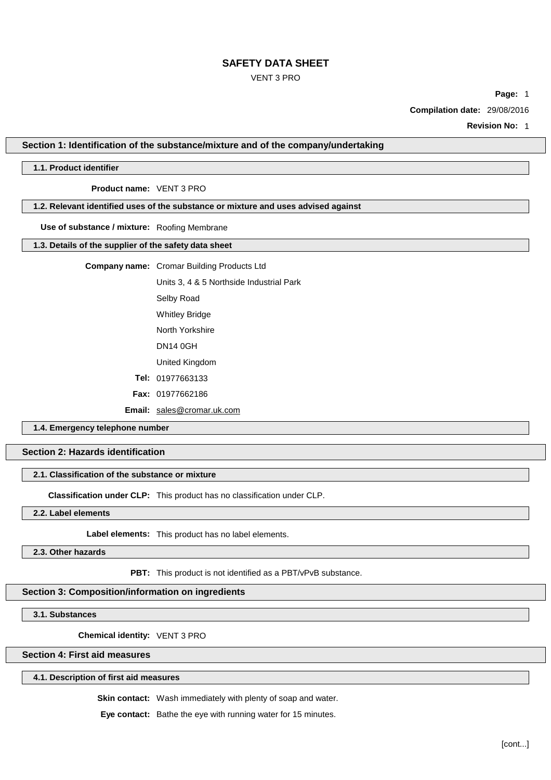## VENT 3 PRO

**Page:** 1

**Compilation date:** 29/08/2016

**Revision No:** 1

**Section 1: Identification of the substance/mixture and of the company/undertaking**

## **1.1. Product identifier**

**Product name:** VENT 3 PRO

# **1.2. Relevant identified uses of the substance or mixture and uses advised against**

**Use of substance / mixture:** Roofing Membrane

#### **1.3. Details of the supplier of the safety data sheet**

**Company name:** Cromar Building Products Ltd

Units 3, 4 & 5 Northside Industrial Park

Selby Road

Whitley Bridge

North Yorkshire

DN14 0GH

United Kingdom

**Tel:** 01977663133

**Fax:** 01977662186

**Email:** [sales@cromar.uk.com](mailto:sales@cromar.uk.com)

**1.4. Emergency telephone number**

# **Section 2: Hazards identification**

## **2.1. Classification of the substance or mixture**

**Classification under CLP:** This product has no classification under CLP.

**2.2. Label elements**

**Label elements:** This product has no label elements.

**2.3. Other hazards**

**PBT:** This product is not identified as a PBT/vPvB substance.

## **Section 3: Composition/information on ingredients**

**3.1. Substances**

**Chemical identity:** VENT 3 PRO

# **Section 4: First aid measures**

#### **4.1. Description of first aid measures**

**Skin contact:** Wash immediately with plenty of soap and water.

**Eye contact:** Bathe the eye with running water for 15 minutes.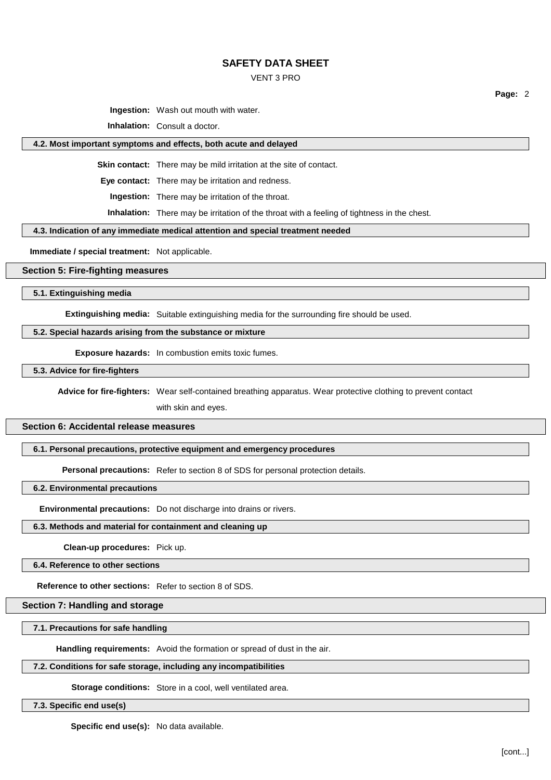### VENT 3 PRO

**Ingestion:** Wash out mouth with water.

**Inhalation:** Consult a doctor.

#### **4.2. Most important symptoms and effects, both acute and delayed**

**Skin contact:** There may be mild irritation at the site of contact.

**Eye contact:** There may be irritation and redness.

**Ingestion:** There may be irritation of the throat.

**Inhalation:** There may be irritation of the throat with a feeling of tightness in the chest.

#### **4.3. Indication of any immediate medical attention and special treatment needed**

**Immediate / special treatment:** Not applicable.

### **Section 5: Fire-fighting measures**

#### **5.1. Extinguishing media**

**Extinguishing media:** Suitable extinguishing media for the surrounding fire should be used.

### **5.2. Special hazards arising from the substance or mixture**

**Exposure hazards:** In combustion emits toxic fumes.

**5.3. Advice for fire-fighters**

**Advice for fire-fighters:** Wear self-contained breathing apparatus. Wear protective clothing to prevent contact

with skin and eyes.

## **Section 6: Accidental release measures**

#### **6.1. Personal precautions, protective equipment and emergency procedures**

**Personal precautions:** Refer to section 8 of SDS for personal protection details.

#### **6.2. Environmental precautions**

**Environmental precautions:** Do not discharge into drains or rivers.

### **6.3. Methods and material for containment and cleaning up**

**Clean-up procedures:** Pick up.

## **6.4. Reference to other sections**

# **Reference to other sections:** Refer to section 8 of SDS.

# **Section 7: Handling and storage**

**7.1. Precautions for safe handling**

**Handling requirements:** Avoid the formation or spread of dust in the air.

## **7.2. Conditions for safe storage, including any incompatibilities**

**Storage conditions:** Store in a cool, well ventilated area.

**7.3. Specific end use(s)**

**Specific end use(s):** No data available.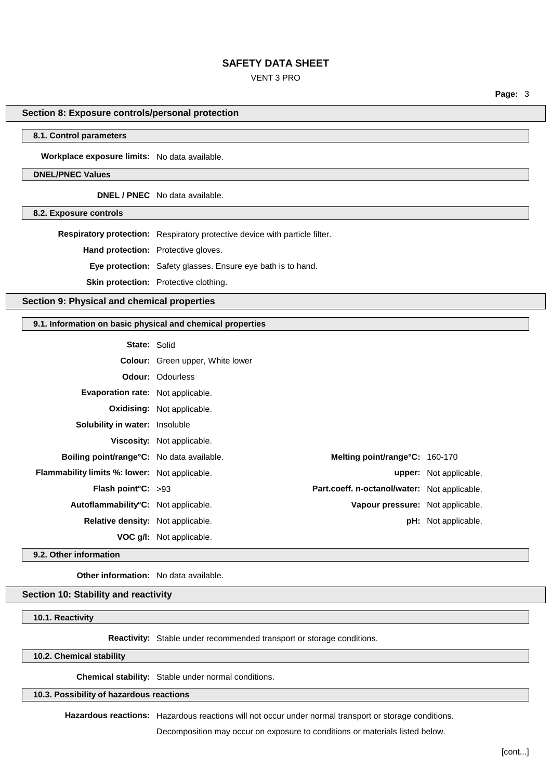## VENT 3 PRO

**Page:** 3

## **Section 8: Exposure controls/personal protection**

## **8.1. Control parameters**

**Workplace exposure limits:** No data available.

#### **DNEL/PNEC Values**

**DNEL / PNEC** No data available.

**8.2. Exposure controls**

**Respiratory protection:** Respiratory protective device with particle filter.

**Hand protection:** Protective gloves.

**Eye protection:** Safety glasses. Ensure eye bath is to hand.

**Skin protection:** Protective clothing.

# **Section 9: Physical and chemical properties**

#### **9.1. Information on basic physical and chemical properties**

| <b>State: Solid</b>                                  |                                         |                                              |                               |
|------------------------------------------------------|-----------------------------------------|----------------------------------------------|-------------------------------|
|                                                      | <b>Colour:</b> Green upper, White lower |                                              |                               |
|                                                      | <b>Odour: Odourless</b>                 |                                              |                               |
| Evaporation rate: Not applicable.                    |                                         |                                              |                               |
|                                                      | <b>Oxidising:</b> Not applicable.       |                                              |                               |
| <b>Solubility in water:</b> Insoluble                |                                         |                                              |                               |
|                                                      | <b>Viscosity:</b> Not applicable.       |                                              |                               |
| <b>Boiling point/range °C:</b> No data available.    |                                         | Melting point/range $C: 160-170$             |                               |
| <b>Flammability limits %: lower:</b> Not applicable. |                                         |                                              | <b>upper:</b> Not applicable. |
| Flash point $C: >93$                                 |                                         | Part.coeff. n-octanol/water: Not applicable. |                               |
| Autoflammability°C: Not applicable.                  |                                         | Vapour pressure: Not applicable.             |                               |
| <b>Relative density:</b> Not applicable.             |                                         |                                              | <b>pH:</b> Not applicable.    |
|                                                      | <b>VOC g/I:</b> Not applicable.         |                                              |                               |

**9.2. Other information**

**Other information:** No data available.

# **Section 10: Stability and reactivity**

**10.1. Reactivity**

**Reactivity:** Stable under recommended transport or storage conditions.

## **10.2. Chemical stability**

**Chemical stability:** Stable under normal conditions.

**10.3. Possibility of hazardous reactions**

**Hazardous reactions:** Hazardous reactions will not occur under normal transport or storage conditions.

Decomposition may occur on exposure to conditions or materials listed below.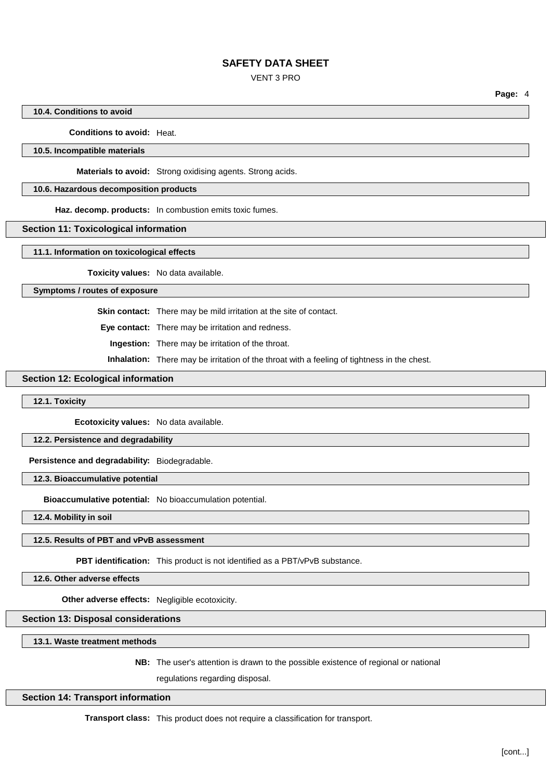## VENT 3 PRO

**Page:** 4

## **10.4. Conditions to avoid**

## **Conditions to avoid:** Heat.

## **10.5. Incompatible materials**

**Materials to avoid:** Strong oxidising agents. Strong acids.

#### **10.6. Hazardous decomposition products**

**Haz. decomp. products:** In combustion emits toxic fumes.

## **Section 11: Toxicological information**

#### **11.1. Information on toxicological effects**

**Toxicity values:** No data available.

#### **Symptoms / routes of exposure**

**Skin contact:** There may be mild irritation at the site of contact.

**Eye contact:** There may be irritation and redness.

**Ingestion:** There may be irritation of the throat.

**Inhalation:** There may be irritation of the throat with a feeling of tightness in the chest.

## **Section 12: Ecological information**

### **12.1. Toxicity**

**Ecotoxicity values:** No data available.

## **12.2. Persistence and degradability**

**Persistence and degradability:** Biodegradable.

### **12.3. Bioaccumulative potential**

**Bioaccumulative potential:** No bioaccumulation potential.

**12.4. Mobility in soil**

#### **12.5. Results of PBT and vPvB assessment**

**PBT identification:** This product is not identified as a PBT/vPvB substance.

**12.6. Other adverse effects**

**Other adverse effects:** Negligible ecotoxicity.

## **Section 13: Disposal considerations**

**13.1. Waste treatment methods**

**NB:** The user's attention is drawn to the possible existence of regional or national

regulations regarding disposal.

#### **Section 14: Transport information**

**Transport class:** This product does not require a classification for transport.